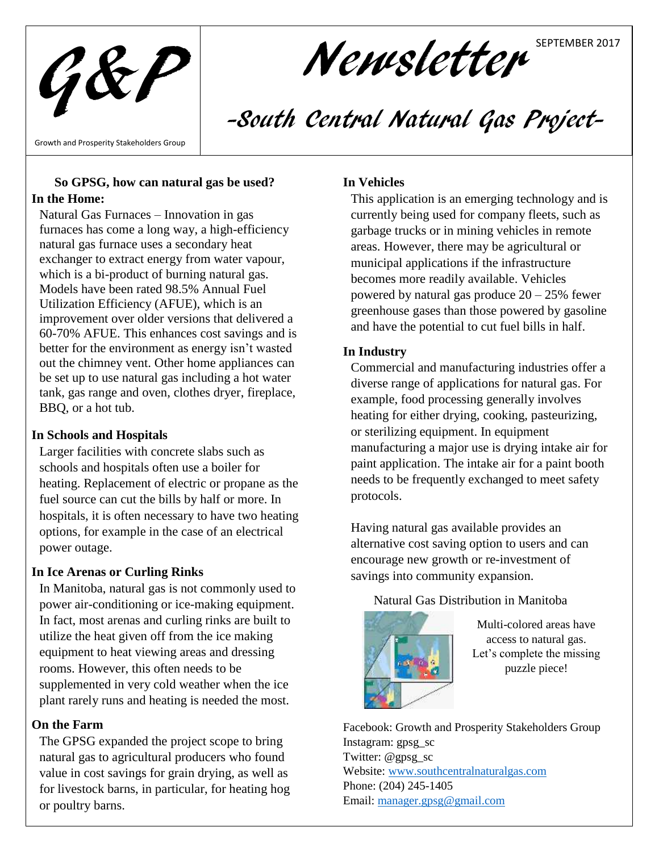G&P

# Newsletter SEPTEMBER 2017

# -South Central Natural Gas Project-

Growth and Prosperity Stakeholders Group

#### **So GPSG, how can natural gas be used? In the Home:**

Natural Gas Furnaces – Innovation in gas furnaces has come a long way, a high-efficiency natural gas furnace uses a secondary heat exchanger to extract energy from water vapour, which is a bi-product of burning natural gas. Models have been rated 98.5% Annual Fuel Utilization Efficiency (AFUE), which is an improvement over older versions that delivered a 60-70% AFUE. This enhances cost savings and is better for the environment as energy isn't wasted out the chimney vent. Other home appliances can be set up to use natural gas including a hot water tank, gas range and oven, clothes dryer, fireplace, BBQ, or a hot tub.

### **In Schools and Hospitals**

Larger facilities with concrete slabs such as schools and hospitals often use a boiler for heating. Replacement of electric or propane as the fuel source can cut the bills by half or more. In hospitals, it is often necessary to have two heating options, for example in the case of an electrical power outage.

# **In Ice Arenas or Curling Rinks**

In Manitoba, natural gas is not commonly used to power air-conditioning or ice-making equipment. In fact, most arenas and curling rinks are built to utilize the heat given off from the ice making equipment to heat viewing areas and dressing rooms. However, this often needs to be supplemented in very cold weather when the ice plant rarely runs and heating is needed the most.

# **On the Farm**

The GPSG expanded the project scope to bring natural gas to agricultural producers who found value in cost savings for grain drying, as well as for livestock barns, in particular, for heating hog or poultry barns.

### **In Vehicles**

This application is an emerging technology and is currently being used for company fleets, such as garbage trucks or in mining vehicles in remote areas. However, there may be agricultural or municipal applications if the infrastructure becomes more readily available. Vehicles powered by natural gas produce  $20 - 25%$  fewer greenhouse gases than those powered by gasoline and have the potential to cut fuel bills in half.

### **In Industry**

Commercial and manufacturing industries offer a diverse range of applications for natural gas. For example, food processing generally involves heating for either drying, cooking, pasteurizing, or sterilizing equipment. In equipment manufacturing a major use is drying intake air for paint application. The intake air for a paint booth needs to be frequently exchanged to meet safety protocols.

Having natural gas available provides an alternative cost saving option to users and can encourage new growth or re-investment of savings into community expansion.

# Natural Gas Distribution in Manitoba



Multi-colored areas have access to natural gas. Let's complete the missing puzzle piece!

Facebook: Growth and Prosperity Stakeholders Group Instagram: gpsg\_sc Twitter: @gpsg\_sc Website[: www.southcentralnaturalgas.com](http://www.southcentralnaturalgas.com/) Phone: (204) 245-1405 Email: [manager.gpsg@gmail.com](mailto:manager.gpsg@gmail.com)